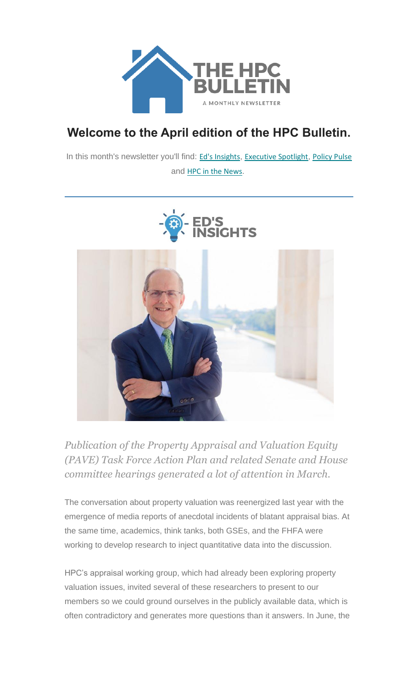

# **Welcome to the April edition of the HPC Bulletin.**

In this month's newsletter you'll find: Ed's [Insights](#page-0-0), [Executive](#page-2-0) Spotlight, [Policy Pulse](#page-2-1) and [HPC in the News](#page-6-0).





<span id="page-0-0"></span>*Publication of the Property Appraisal and Valuation Equity (PAVE) Task Force Action Plan and related Senate and House committee hearings generated a lot of attention in March.*

The conversation about property valuation was reenergized last year with the emergence of media reports of anecdotal incidents of blatant appraisal bias. At the same time, academics, think tanks, both GSEs, and the FHFA were working to develop research to inject quantitative data into the discussion.

HPC's appraisal working group, which had already been exploring property valuation issues, invited several of these researchers to present to our members so we could ground ourselves in the publicly available data, which is often contradictory and generates more questions than it answers. In June, the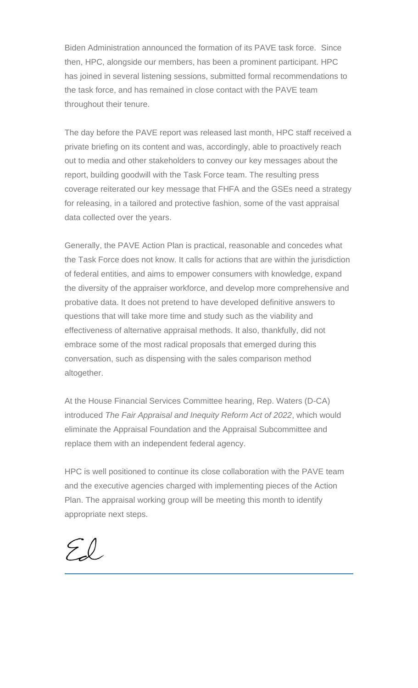Biden Administration announced the formation of its PAVE task force. Since then, HPC, alongside our members, has been a prominent participant. HPC has joined in several listening sessions, submitted formal recommendations to the task force, and has remained in close contact with the PAVE team throughout their tenure.

The day before the PAVE report was released last month, HPC staff received a private briefing on its content and was, accordingly, able to proactively reach out to media and other stakeholders to convey our key messages about the report, building goodwill with the Task Force team. The resulting press coverage reiterated our key message that FHFA and the GSEs need a strategy for releasing, in a tailored and protective fashion, some of the vast appraisal data collected over the years.

Generally, the PAVE Action Plan is practical, reasonable and concedes what the Task Force does not know. It calls for actions that are within the jurisdiction of federal entities, and aims to empower consumers with knowledge, expand the diversity of the appraiser workforce, and develop more comprehensive and probative data. It does not pretend to have developed definitive answers to questions that will take more time and study such as the viability and effectiveness of alternative appraisal methods. It also, thankfully, did not embrace some of the most radical proposals that emerged during this conversation, such as dispensing with the sales comparison method altogether.

At the House Financial Services Committee hearing, Rep. Waters (D-CA) introduced *The Fair Appraisal and Inequity Reform Act of 2022*, which would eliminate the Appraisal Foundation and the Appraisal Subcommittee and replace them with an independent federal agency.

HPC is well positioned to continue its close collaboration with the PAVE team and the executive agencies charged with implementing pieces of the Action Plan. The appraisal working group will be meeting this month to identify appropriate next steps.

 $\mathcal{L}(\mathcal{L})$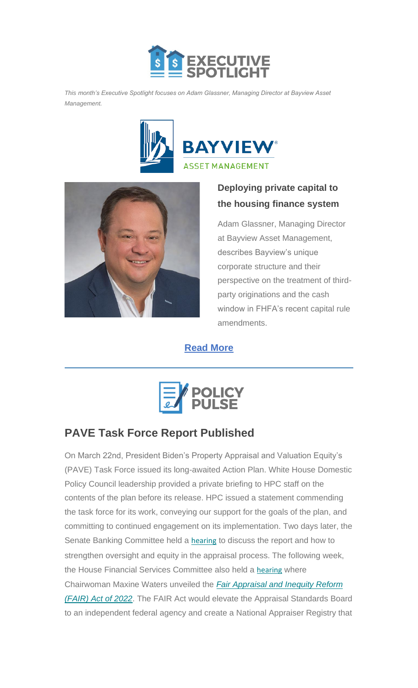

<span id="page-2-0"></span>*This month's Executive Spotlight focuses on Adam Glassner, Managing Director at Bayview Asset Management.*





### **Deploying private capital to the housing finance system**

Adam Glassner, Managing Director at Bayview Asset Management, describes Bayview's unique corporate structure and their perspective on the treatment of thirdparty originations and the cash window in FHFA's recent capital rule amendments.

**[Read More](https://nam12.safelinks.protection.outlook.com/?url=https%3A%2F%2Furldefense.com%2Fv3%2F__https%3A%2Fnam12.safelinks.protection.outlook.com%2F%3Furl%3Dhttps*3A*2F*2Furldefense.com*2Fv3*2F__https*3A*2Fhousingpolicycouncil.us4.list-manage.com*2Ftrack*2Fclick*3Fu*3D5140623077e4523696cc45400*26id*3De0bf85839e*26e*3De89278f47f__*3B!!I-LMKjOgH-PPDA!tu0JGfCZQEIv-6BQNwDX-LgmTudgsjA15etg8dVC7su9Unv7aNowlo-lZajLMZ-wcZChfUyQ0A6qML1vYEhJV0Qf12i-qM0ITNqJdKo*24%26data%3D04*7C01*7CChris.Monaco*40housingpolicycouncil.org*7C504ec139490b485288e808da1738e9a9*7Ca05a64bbd6ba4776b9825a9e6644ad76*7C1*7C0*7C637847831133106342*7CUnknown*7CTWFpbGZsb3d8eyJWIjoiMC4wLjAwMDAiLCJQIjoiV2luMzIiLCJBTiI6Ik1haWwiLCJXVCI6Mn0*3D*7C2000%26sdata%3DFqFUGkncLCuAkk5J*2BoNEyqsEGHg7zW5o515xk22WEdg*3D%26reserved%3D0__%3BJSUlJSUlJSUlJSUlJSUlJSUlJSUlJSUlJSUlJSUlJQ!!I-LMKjOgH-PPDA!s5VxOdCxwYAGeYhVfpD87mR9WQJ_7FUQZorfKMR9I8pcp2S7dfZ_UqptjQrgC8yl_PtBScOPpxIqNtu7o7YY_G9MLlCfbV9teRitFQk%24&data=04%7C01%7CChris.Monaco%40housingpolicycouncil.org%7C1bd1127d59264e92b93208da17469a37%7Ca05a64bbd6ba4776b9825a9e6644ad76%7C1%7C0%7C637847889736757466%7CUnknown%7CTWFpbGZsb3d8eyJWIjoiMC4wLjAwMDAiLCJQIjoiV2luMzIiLCJBTiI6Ik1haWwiLCJXVCI6Mn0%3D%7C2000&sdata=OXMkBNkpEVCUSa8we3%2FL4Ckn%2FFydrVyYvnj0uPL9O58%3D&reserved=0)**



# <span id="page-2-1"></span>**PAVE Task Force Report Published**

On March 22nd, President Biden's Property Appraisal and Valuation Equity's (PAVE) Task Force issued its long-awaited Action Plan. White House Domestic Policy Council leadership provided a private briefing to HPC staff on the contents of the plan before its release. HPC issued a statement commending the task force for its work, conveying our support for the goals of the plan, and committing to continued engagement on its implementation. Two days later, the Senate Banking Committee held a **[hearing](https://nam12.safelinks.protection.outlook.com/?url=https%3A%2F%2Fhousingpolicycouncil.us4.list-manage.com%2Ftrack%2Fclick%3Fu%3D5140623077e4523696cc45400%26id%3Dbb4be61ef2%26e%3Dc1f6e13f3b&data=04%7C01%7CChris.Monaco%40housingpolicycouncil.org%7C73d1fb3d7c4145f1ceab08da16f362b5%7Ca05a64bbd6ba4776b9825a9e6644ad76%7C1%7C0%7C637847532424637819%7CUnknown%7CTWFpbGZsb3d8eyJWIjoiMC4wLjAwMDAiLCJQIjoiV2luMzIiLCJBTiI6Ik1haWwiLCJXVCI6Mn0%3D%7C3000&sdata=AZwahuw%2BdaCKWwK5TplgpXRCHViLrCKqgZKbsVNXygs%3D&reserved=0)** to discuss the report and how to strengthen oversight and equity in the appraisal process. The following week, the House Financial Services Committee also held a [hearing](https://nam12.safelinks.protection.outlook.com/?url=https%3A%2F%2Fhousingpolicycouncil.us4.list-manage.com%2Ftrack%2Fclick%3Fu%3D5140623077e4523696cc45400%26id%3Dfcb787cc44%26e%3Dc1f6e13f3b&data=04%7C01%7CChris.Monaco%40housingpolicycouncil.org%7C73d1fb3d7c4145f1ceab08da16f362b5%7Ca05a64bbd6ba4776b9825a9e6644ad76%7C1%7C0%7C637847532424637819%7CUnknown%7CTWFpbGZsb3d8eyJWIjoiMC4wLjAwMDAiLCJQIjoiV2luMzIiLCJBTiI6Ik1haWwiLCJXVCI6Mn0%3D%7C3000&sdata=SuJRK73RRZfVvZAszM0WPUleEH6Dy4Ug7yl85ZUD5sc%3D&reserved=0) where Chairwoman Maxine Waters unveiled the *[Fair Appraisal and Inequity Reform](https://nam12.safelinks.protection.outlook.com/?url=https%3A%2F%2Fhousingpolicycouncil.us4.list-manage.com%2Ftrack%2Fclick%3Fu%3D5140623077e4523696cc45400%26id%3Da279a2e675%26e%3Dc1f6e13f3b&data=04%7C01%7CChris.Monaco%40housingpolicycouncil.org%7C73d1fb3d7c4145f1ceab08da16f362b5%7Ca05a64bbd6ba4776b9825a9e6644ad76%7C1%7C0%7C637847532424637819%7CUnknown%7CTWFpbGZsb3d8eyJWIjoiMC4wLjAwMDAiLCJQIjoiV2luMzIiLCJBTiI6Ik1haWwiLCJXVCI6Mn0%3D%7C3000&sdata=NYvJ15lXoUFtDwcbOsT90iEtBlgfCtlYIFEpLSQrMeg%3D&reserved=0)  [\(FAIR\) Act of 2022](https://nam12.safelinks.protection.outlook.com/?url=https%3A%2F%2Fhousingpolicycouncil.us4.list-manage.com%2Ftrack%2Fclick%3Fu%3D5140623077e4523696cc45400%26id%3Da279a2e675%26e%3Dc1f6e13f3b&data=04%7C01%7CChris.Monaco%40housingpolicycouncil.org%7C73d1fb3d7c4145f1ceab08da16f362b5%7Ca05a64bbd6ba4776b9825a9e6644ad76%7C1%7C0%7C637847532424637819%7CUnknown%7CTWFpbGZsb3d8eyJWIjoiMC4wLjAwMDAiLCJQIjoiV2luMzIiLCJBTiI6Ik1haWwiLCJXVCI6Mn0%3D%7C3000&sdata=NYvJ15lXoUFtDwcbOsT90iEtBlgfCtlYIFEpLSQrMeg%3D&reserved=0)*. The FAIR Act would elevate the Appraisal Standards Board to an independent federal agency and create a National Appraiser Registry that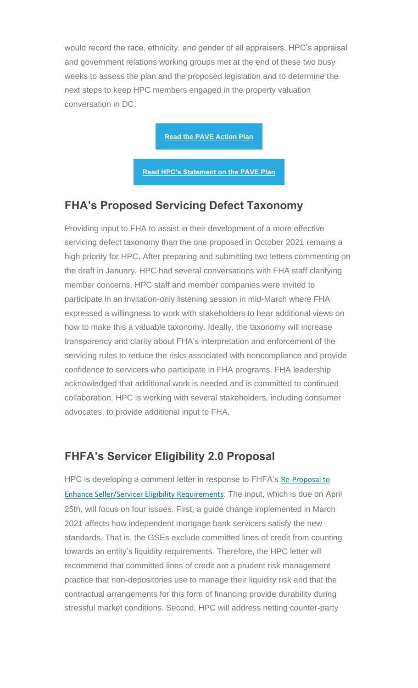would record the race, ethnicity, and gender of all appraisers. HPC's appraisal and government relations working groups met at the end of these two busy weeks to assess the plan and the proposed legislation and to determine the next steps to keep HPC members engaged in the property valuation conversation in DC.

**[Read the PAVE Action Plan](https://nam12.safelinks.protection.outlook.com/?url=https%3A%2F%2Fhousingpolicycouncil.us4.list-manage.com%2Ftrack%2Fclick%3Fu%3D5140623077e4523696cc45400%26id%3D1f58294c25%26e%3Dc1f6e13f3b&data=04%7C01%7CChris.Monaco%40housingpolicycouncil.org%7C73d1fb3d7c4145f1ceab08da16f362b5%7Ca05a64bbd6ba4776b9825a9e6644ad76%7C1%7C0%7C637847532424637819%7CUnknown%7CTWFpbGZsb3d8eyJWIjoiMC4wLjAwMDAiLCJQIjoiV2luMzIiLCJBTiI6Ik1haWwiLCJXVCI6Mn0%3D%7C3000&sdata=ns%2Bs6TLM7%2FfwYd%2BvmEW3q3cW%2B%2Bua7iOCXrJbS96sqSc%3D&reserved=0)**

**[Read HPC's Statement on the PAVE Plan](https://nam12.safelinks.protection.outlook.com/?url=https%3A%2F%2Fhousingpolicycouncil.us4.list-manage.com%2Ftrack%2Fclick%3Fu%3D5140623077e4523696cc45400%26id%3D1eae844074%26e%3Dc1f6e13f3b&data=04%7C01%7CChris.Monaco%40housingpolicycouncil.org%7C73d1fb3d7c4145f1ceab08da16f362b5%7Ca05a64bbd6ba4776b9825a9e6644ad76%7C1%7C0%7C637847532424637819%7CUnknown%7CTWFpbGZsb3d8eyJWIjoiMC4wLjAwMDAiLCJQIjoiV2luMzIiLCJBTiI6Ik1haWwiLCJXVCI6Mn0%3D%7C3000&sdata=KxP160tJfQ8kZxYCoHZf3os9lPCvoYsb%2FS4MiM%2FnyvE%3D&reserved=0)**

#### **FHA's Proposed Servicing Defect Taxonomy**

Providing input to FHA to assist in their development of a more effective servicing defect taxonomy than the one proposed in October 2021 remains a high priority for HPC. After preparing and submitting two letters commenting on the draft in January, HPC had several conversations with FHA staff clarifying member concerns. HPC staff and member companies were invited to participate in an invitation-only listening session in mid-March where FHA expressed a willingness to work with stakeholders to hear additional views on how to make this a valuable taxonomy. Ideally, the taxonomy will increase transparency and clarity about FHA's interpretation and enforcement of the servicing rules to reduce the risks associated with noncompliance and provide confidence to servicers who participate in FHA programs. FHA leadership acknowledged that additional work is needed and is committed to continued collaboration. HPC is working with several stakeholders, including consumer advocates, to provide additional input to FHA.

#### **FHFA's Servicer Eligibility 2.0 Proposal**

HPC is developing a comment letter in response to FHFA's Re-Proposal to [Enhance Seller/Servicer Eligibility Requirements](https://nam12.safelinks.protection.outlook.com/?url=https%3A%2F%2Fhousingpolicycouncil.us4.list-manage.com%2Ftrack%2Fclick%3Fu%3D5140623077e4523696cc45400%26id%3Dc032411a17%26e%3Dc1f6e13f3b&data=04%7C01%7CChris.Monaco%40housingpolicycouncil.org%7C73d1fb3d7c4145f1ceab08da16f362b5%7Ca05a64bbd6ba4776b9825a9e6644ad76%7C1%7C0%7C637847532424637819%7CUnknown%7CTWFpbGZsb3d8eyJWIjoiMC4wLjAwMDAiLCJQIjoiV2luMzIiLCJBTiI6Ik1haWwiLCJXVCI6Mn0%3D%7C3000&sdata=SputGngdnOOZHXAxr93BfzzDZYtkdFUwLo08WVp%2BNlA%3D&reserved=0). The input, which is due on April 25th, will focus on four issues. First, a guide change implemented in March 2021 affects how independent mortgage bank servicers satisfy the new standards. That is, the GSEs exclude committed lines of credit from counting towards an entity's liquidity requirements. Therefore, the HPC letter will recommend that committed lines of credit are a prudent risk management practice that non-depositories use to manage their liquidity risk and that the contractual arrangements for this form of financing provide durability during stressful market conditions. Second, HPC will address netting counter-party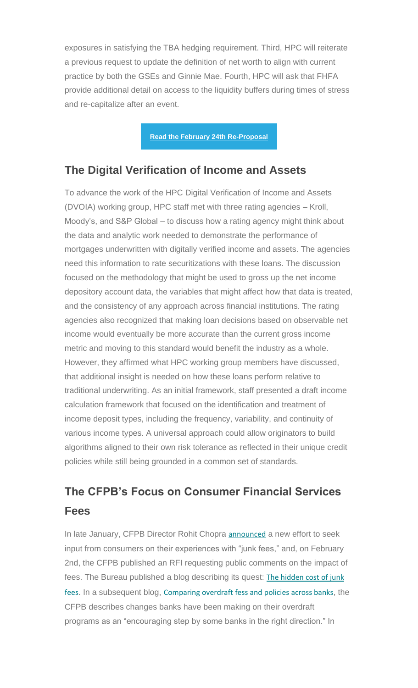exposures in satisfying the TBA hedging requirement. Third, HPC will reiterate a previous request to update the definition of net worth to align with current practice by both the GSEs and Ginnie Mae. Fourth, HPC will ask that FHFA provide additional detail on access to the liquidity buffers during times of stress and re-capitalize after an event.

**[Read the February 24th Re-Proposal](https://nam12.safelinks.protection.outlook.com/?url=https%3A%2F%2Fhousingpolicycouncil.us4.list-manage.com%2Ftrack%2Fclick%3Fu%3D5140623077e4523696cc45400%26id%3Dfe1660b3bc%26e%3Dc1f6e13f3b&data=04%7C01%7CChris.Monaco%40housingpolicycouncil.org%7C73d1fb3d7c4145f1ceab08da16f362b5%7Ca05a64bbd6ba4776b9825a9e6644ad76%7C1%7C0%7C637847532424637819%7CUnknown%7CTWFpbGZsb3d8eyJWIjoiMC4wLjAwMDAiLCJQIjoiV2luMzIiLCJBTiI6Ik1haWwiLCJXVCI6Mn0%3D%7C3000&sdata=cd8OxYOcXa71%2F4f9NHzACddFfy3BmIPxQlRdgySNEzc%3D&reserved=0)**

#### **The Digital Verification of Income and Assets**

To advance the work of the HPC Digital Verification of Income and Assets (DVOIA) working group, HPC staff met with three rating agencies – Kroll, Moody's, and S&P Global – to discuss how a rating agency might think about the data and analytic work needed to demonstrate the performance of mortgages underwritten with digitally verified income and assets. The agencies need this information to rate securitizations with these loans. The discussion focused on the methodology that might be used to gross up the net income depository account data, the variables that might affect how that data is treated, and the consistency of any approach across financial institutions. The rating agencies also recognized that making loan decisions based on observable net income would eventually be more accurate than the current gross income metric and moving to this standard would benefit the industry as a whole. However, they affirmed what HPC working group members have discussed, that additional insight is needed on how these loans perform relative to traditional underwriting. As an initial framework, staff presented a draft income calculation framework that focused on the identification and treatment of income deposit types, including the frequency, variability, and continuity of various income types. A universal approach could allow originators to build algorithms aligned to their own risk tolerance as reflected in their unique credit policies while still being grounded in a common set of standards.

# **The CFPB's Focus on Consumer Financial Services Fees**

In late January, CFPB Director Rohit Chopra [announced](https://nam12.safelinks.protection.outlook.com/?url=https%3A%2F%2Fhousingpolicycouncil.us4.list-manage.com%2Ftrack%2Fclick%3Fu%3D5140623077e4523696cc45400%26id%3Deab2ad4789%26e%3Dc1f6e13f3b&data=04%7C01%7CChris.Monaco%40housingpolicycouncil.org%7C73d1fb3d7c4145f1ceab08da16f362b5%7Ca05a64bbd6ba4776b9825a9e6644ad76%7C1%7C0%7C637847532424637819%7CUnknown%7CTWFpbGZsb3d8eyJWIjoiMC4wLjAwMDAiLCJQIjoiV2luMzIiLCJBTiI6Ik1haWwiLCJXVCI6Mn0%3D%7C3000&sdata=1ry5AEcNYGHUIEgGe45V4dx7pN7s17seqxzMMKkOWBo%3D&reserved=0) a new effort to seek input from consumers on their experiences with "junk fees," and, on February 2nd, the CFPB published an RFI requesting public comments on the impact of fees. The Bureau published a blog describing its quest: [The hidden cost of junk](https://nam12.safelinks.protection.outlook.com/?url=https%3A%2F%2Fhousingpolicycouncil.us4.list-manage.com%2Ftrack%2Fclick%3Fu%3D5140623077e4523696cc45400%26id%3Dc03669218b%26e%3Dc1f6e13f3b&data=04%7C01%7CChris.Monaco%40housingpolicycouncil.org%7C73d1fb3d7c4145f1ceab08da16f362b5%7Ca05a64bbd6ba4776b9825a9e6644ad76%7C1%7C0%7C637847532424637819%7CUnknown%7CTWFpbGZsb3d8eyJWIjoiMC4wLjAwMDAiLCJQIjoiV2luMzIiLCJBTiI6Ik1haWwiLCJXVCI6Mn0%3D%7C3000&sdata=FAX9jgWkoG2TP3KFavYszaaQEvxQ4SqS59ownUe07Hk%3D&reserved=0)  [fees](https://nam12.safelinks.protection.outlook.com/?url=https%3A%2F%2Fhousingpolicycouncil.us4.list-manage.com%2Ftrack%2Fclick%3Fu%3D5140623077e4523696cc45400%26id%3Dc03669218b%26e%3Dc1f6e13f3b&data=04%7C01%7CChris.Monaco%40housingpolicycouncil.org%7C73d1fb3d7c4145f1ceab08da16f362b5%7Ca05a64bbd6ba4776b9825a9e6644ad76%7C1%7C0%7C637847532424637819%7CUnknown%7CTWFpbGZsb3d8eyJWIjoiMC4wLjAwMDAiLCJQIjoiV2luMzIiLCJBTiI6Ik1haWwiLCJXVCI6Mn0%3D%7C3000&sdata=FAX9jgWkoG2TP3KFavYszaaQEvxQ4SqS59ownUe07Hk%3D&reserved=0). In a subsequent blog, [Comparing overdraft fess and policies across banks](https://nam12.safelinks.protection.outlook.com/?url=https%3A%2F%2Fhousingpolicycouncil.us4.list-manage.com%2Ftrack%2Fclick%3Fu%3D5140623077e4523696cc45400%26id%3D3a1229f633%26e%3Dc1f6e13f3b&data=04%7C01%7CChris.Monaco%40housingpolicycouncil.org%7C73d1fb3d7c4145f1ceab08da16f362b5%7Ca05a64bbd6ba4776b9825a9e6644ad76%7C1%7C0%7C637847532424637819%7CUnknown%7CTWFpbGZsb3d8eyJWIjoiMC4wLjAwMDAiLCJQIjoiV2luMzIiLCJBTiI6Ik1haWwiLCJXVCI6Mn0%3D%7C3000&sdata=LGv%2BV2dVK1GbDfMHOPT40LZRomwPw4PGmMHU3PtPYBg%3D&reserved=0), the CFPB describes changes banks have been making on their overdraft programs as an "encouraging step by some banks in the right direction." In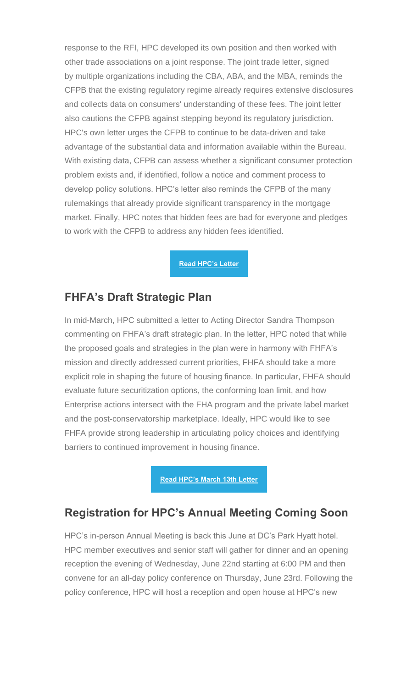response to the RFI, HPC developed its own position and then worked with other trade associations on a joint response. The joint trade letter, signed by multiple organizations including the CBA, ABA, and the MBA, reminds the CFPB that the existing regulatory regime already requires extensive disclosures and collects data on consumers' understanding of these fees. The joint letter also cautions the CFPB against stepping beyond its regulatory jurisdiction. HPC's own letter urges the CFPB to continue to be data-driven and take advantage of the substantial data and information available within the Bureau. With existing data, CFPB can assess whether a significant consumer protection problem exists and, if identified, follow a notice and comment process to develop policy solutions. HPC's letter also reminds the CFPB of the many rulemakings that already provide significant transparency in the mortgage market. Finally, HPC notes that hidden fees are bad for everyone and pledges to work with the CFPB to address any hidden fees identified.

**[Read HPC's Letter](https://nam12.safelinks.protection.outlook.com/?url=https%3A%2F%2Fhousingpolicycouncil.us4.list-manage.com%2Ftrack%2Fclick%3Fu%3D5140623077e4523696cc45400%26id%3D32d60d7cb7%26e%3Dc1f6e13f3b&data=04%7C01%7CChris.Monaco%40housingpolicycouncil.org%7C73d1fb3d7c4145f1ceab08da16f362b5%7Ca05a64bbd6ba4776b9825a9e6644ad76%7C1%7C0%7C637847532424637819%7CUnknown%7CTWFpbGZsb3d8eyJWIjoiMC4wLjAwMDAiLCJQIjoiV2luMzIiLCJBTiI6Ik1haWwiLCJXVCI6Mn0%3D%7C3000&sdata=EuAQxezd%2BhJaksbRe%2BBAGkuXSjh44HQDpIRR7MBzqE4%3D&reserved=0)**

### **FHFA's Draft Strategic Plan**

In mid-March, HPC submitted a letter to Acting Director Sandra Thompson commenting on FHFA's draft strategic plan. In the letter, HPC noted that while the proposed goals and strategies in the plan were in harmony with FHFA's mission and directly addressed current priorities, FHFA should take a more explicit role in shaping the future of housing finance. In particular, FHFA should evaluate future securitization options, the conforming loan limit, and how Enterprise actions intersect with the FHA program and the private label market and the post-conservatorship marketplace. Ideally, HPC would like to see FHFA provide strong leadership in articulating policy choices and identifying barriers to continued improvement in housing finance.

**[Read HPC's March 13th Letter](https://nam12.safelinks.protection.outlook.com/?url=https%3A%2F%2Fhousingpolicycouncil.us4.list-manage.com%2Ftrack%2Fclick%3Fu%3D5140623077e4523696cc45400%26id%3D09c55a615d%26e%3Dc1f6e13f3b&data=04%7C01%7CChris.Monaco%40housingpolicycouncil.org%7C73d1fb3d7c4145f1ceab08da16f362b5%7Ca05a64bbd6ba4776b9825a9e6644ad76%7C1%7C0%7C637847532424637819%7CUnknown%7CTWFpbGZsb3d8eyJWIjoiMC4wLjAwMDAiLCJQIjoiV2luMzIiLCJBTiI6Ik1haWwiLCJXVCI6Mn0%3D%7C3000&sdata=JbyKnMdD0PVnrnPz0uK5hduaquNKlwL1Z4n6kmHWCbo%3D&reserved=0)**

## **Registration for HPC's Annual Meeting Coming Soon**

HPC's in-person Annual Meeting is back this June at DC's Park Hyatt hotel. HPC member executives and senior staff will gather for dinner and an opening reception the evening of Wednesday, June 22nd starting at 6:00 PM and then convene for an all-day policy conference on Thursday, June 23rd. Following the policy conference, HPC will host a reception and open house at HPC's new